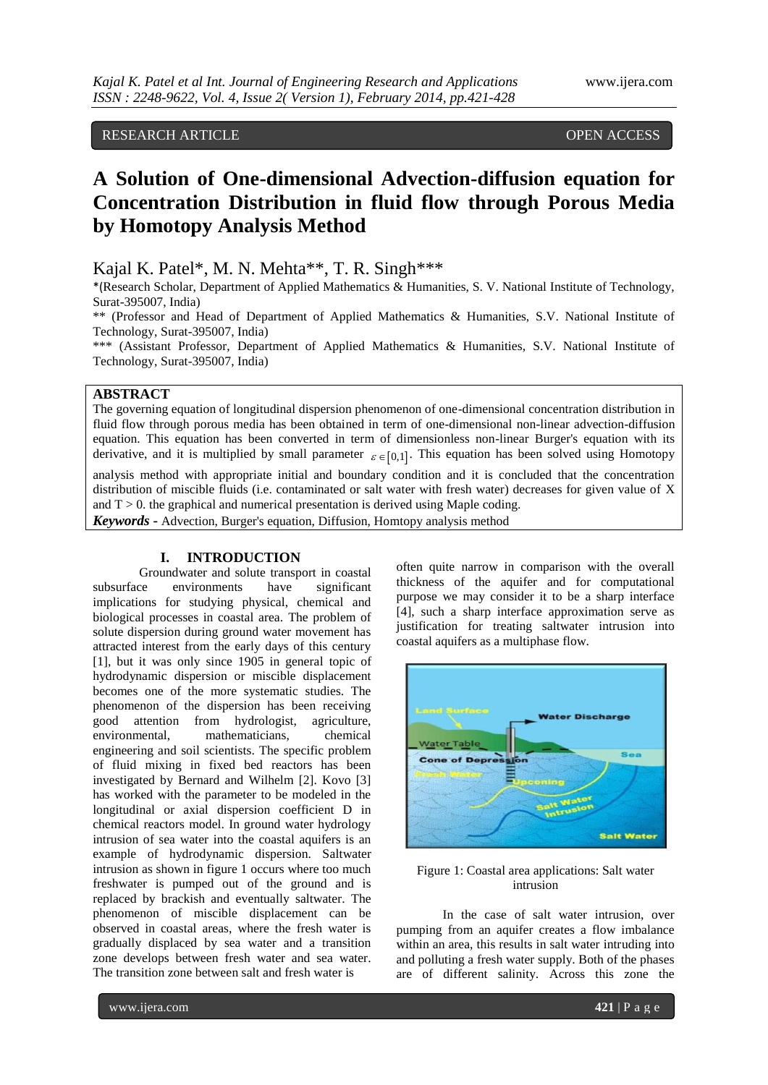# RESEARCH ARTICLE **OPEN ACCESS**

# **A Solution of One-dimensional Advection-diffusion equation for Concentration Distribution in fluid flow through Porous Media by Homotopy Analysis Method**

Kajal K. Patel\*, M. N. Mehta\*\*, T. R. Singh\*\*\*

\*(Research Scholar, Department of Applied Mathematics & Humanities, S. V. National Institute of Technology, Surat-395007, India)

\*\* (Professor and Head of Department of Applied Mathematics & Humanities, S.V. National Institute of Technology, Surat-395007, India)

\*\*\* (Assistant Professor, Department of Applied Mathematics & Humanities, S.V. National Institute of Technology, Surat-395007, India)

## **ABSTRACT**

The governing equation of longitudinal dispersion phenomenon of one-dimensional concentration distribution in fluid flow through porous media has been obtained in term of one-dimensional non-linear advection-diffusion equation. This equation has been converted in term of dimensionless non-linear Burger's equation with its derivative, and it is multiplied by small parameter  $\varepsilon \in [0,1]$ . This equation has been solved using Homotopy

analysis method with appropriate initial and boundary condition and it is concluded that the concentration distribution of miscible fluids (i.e. contaminated or salt water with fresh water) decreases for given value of X and  $T > 0$ . the graphical and numerical presentation is derived using Maple coding.

*Keywords* **-** Advection, Burger's equation, Diffusion, Homtopy analysis method

# **I. INTRODUCTION**

Groundwater and solute transport in coastal<br>ce environments have significant subsurface environments implications for studying physical, chemical and biological processes in coastal area. The problem of solute dispersion during ground water movement has attracted interest from the early days of this century [1], but it was only since 1905 in general topic of hydrodynamic dispersion or miscible displacement becomes one of the more systematic studies. The phenomenon of the dispersion has been receiving good attention from hydrologist, agriculture, environmental, mathematicians, chemical engineering and soil scientists. The specific problem of fluid mixing in fixed bed reactors has been investigated by Bernard and Wilhelm [2]. Kovo [3] has worked with the parameter to be modeled in the longitudinal or axial dispersion coefficient D in chemical reactors model. In ground water hydrology intrusion of sea water into the coastal aquifers is an example of hydrodynamic dispersion. Saltwater intrusion as shown in figure 1 occurs where too much freshwater is pumped out of the ground and is replaced by brackish and eventually saltwater. The phenomenon of miscible displacement can be observed in coastal areas, where the fresh water is gradually displaced by sea water and a transition zone develops between fresh water and sea water. The transition zone between salt and fresh water is

often quite narrow in comparison with the overall thickness of the aquifer and for computational purpose we may consider it to be a sharp interface [4], such a sharp interface approximation serve as justification for treating saltwater intrusion into coastal aquifers as a multiphase flow.



Figure 1: Coastal area applications: Salt water intrusion

In the case of salt water intrusion, over pumping from an aquifer creates a flow imbalance within an area, this results in salt water intruding into and polluting a fresh water supply. Both of the phases are of different salinity. Across this zone the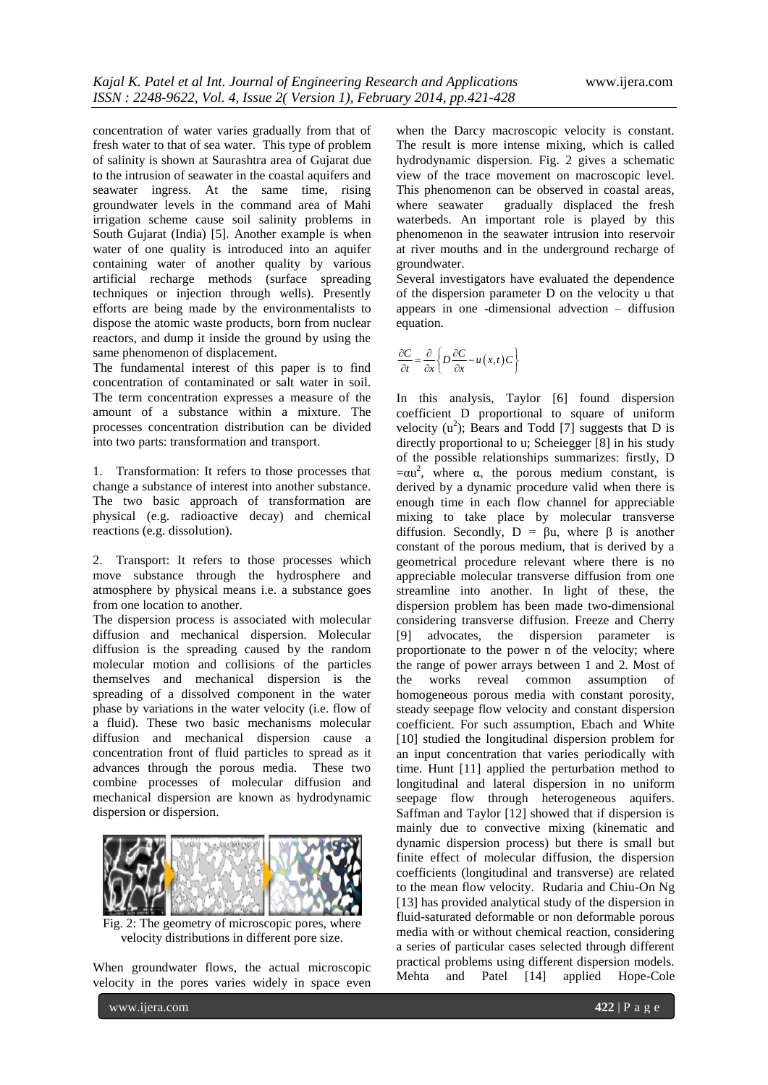concentration of water varies gradually from that of fresh water to that of sea water. This type of problem of salinity is shown at Saurashtra area of Gujarat due to the intrusion of seawater in the coastal aquifers and seawater ingress. At the same time, rising groundwater levels in the command area of Mahi irrigation scheme cause soil salinity problems in South Gujarat (India) [5]. Another example is when water of one quality is introduced into an aquifer containing water of another quality by various artificial recharge methods (surface spreading techniques or injection through wells). Presently efforts are being made by the environmentalists to dispose the atomic waste products, born from nuclear reactors, and dump it inside the ground by using the same phenomenon of displacement.

The fundamental interest of this paper is to find concentration of contaminated or salt water in soil. The term concentration expresses a measure of the amount of a substance within a mixture. The processes concentration distribution can be divided into two parts: transformation and transport.

1. Transformation: It refers to those processes that change a substance of interest into another substance. The two basic approach of transformation are physical (e.g. radioactive decay) and chemical reactions (e.g. dissolution).

2. Transport: It refers to those processes which move substance through the hydrosphere and atmosphere by physical means i.e. a substance goes from one location to another.

The dispersion process is associated with molecular diffusion and mechanical dispersion. Molecular diffusion is the spreading caused by the random molecular motion and collisions of the particles themselves and mechanical dispersion is the spreading of a dissolved component in the water phase by variations in the water velocity (i.e. flow of a fluid). These two basic mechanisms molecular diffusion and mechanical dispersion cause a concentration front of fluid particles to spread as it advances through the porous media. These two combine processes of molecular diffusion and mechanical dispersion are known as hydrodynamic dispersion or dispersion.



Fig. 2: The geometry of microscopic pores, where velocity distributions in different pore size.

When groundwater flows, the actual microscopic velocity in the pores varies widely in space even

www.ijera.com **422** | P a g e

when the Darcy macroscopic velocity is constant. The result is more intense mixing, which is called hydrodynamic dispersion. Fig. 2 gives a schematic view of the trace movement on macroscopic level. This phenomenon can be observed in coastal areas,<br>where seawater gradually displaced the fresh gradually displaced the fresh waterbeds. An important role is played by this phenomenon in the seawater intrusion into reservoir at river mouths and in the underground recharge of groundwater.

Several investigators have evaluated the dependence of the dispersion parameter D on the velocity u that appears in one -dimensional advection – diffusion equation.

$$
\frac{\partial C}{\partial t} = \frac{\partial}{\partial x} \left\{ D \frac{\partial C}{\partial x} - u(x, t) C \right\}
$$

In this analysis, Taylor [6] found dispersion coefficient D proportional to square of uniform velocity  $(u^2)$ ; Bears and Todd [7] suggests that D is directly proportional to u; Scheiegger [8] in his study of the possible relationships summarizes: firstly, D  $= \alpha u^2$ , where  $\alpha$ , the porous medium constant, is derived by a dynamic procedure valid when there is enough time in each flow channel for appreciable mixing to take place by molecular transverse diffusion. Secondly,  $D = \beta u$ , where  $\beta$  is another constant of the porous medium, that is derived by a geometrical procedure relevant where there is no appreciable molecular transverse diffusion from one streamline into another. In light of these, the dispersion problem has been made two-dimensional considering transverse diffusion. Freeze and Cherry [9] advocates, the dispersion parameter is proportionate to the power n of the velocity; where the range of power arrays between 1 and 2. Most of the works reveal common assumption of homogeneous porous media with constant porosity, steady seepage flow velocity and constant dispersion coefficient. For such assumption, Ebach and White [10] studied the longitudinal dispersion problem for an input concentration that varies periodically with time. Hunt [11] applied the perturbation method to longitudinal and lateral dispersion in no uniform seepage flow through heterogeneous aquifers. Saffman and Taylor [12] showed that if dispersion is mainly due to convective mixing (kinematic and dynamic dispersion process) but there is small but finite effect of molecular diffusion, the dispersion coefficients (longitudinal and transverse) are related to the mean flow velocity. Rudaria and Chiu-On Ng [13] has provided analytical study of the dispersion in fluid-saturated deformable or non deformable porous media with or without chemical reaction, considering a series of particular cases selected through different practical problems using different dispersion models. Mehta and Patel [14] applied Hope-Cole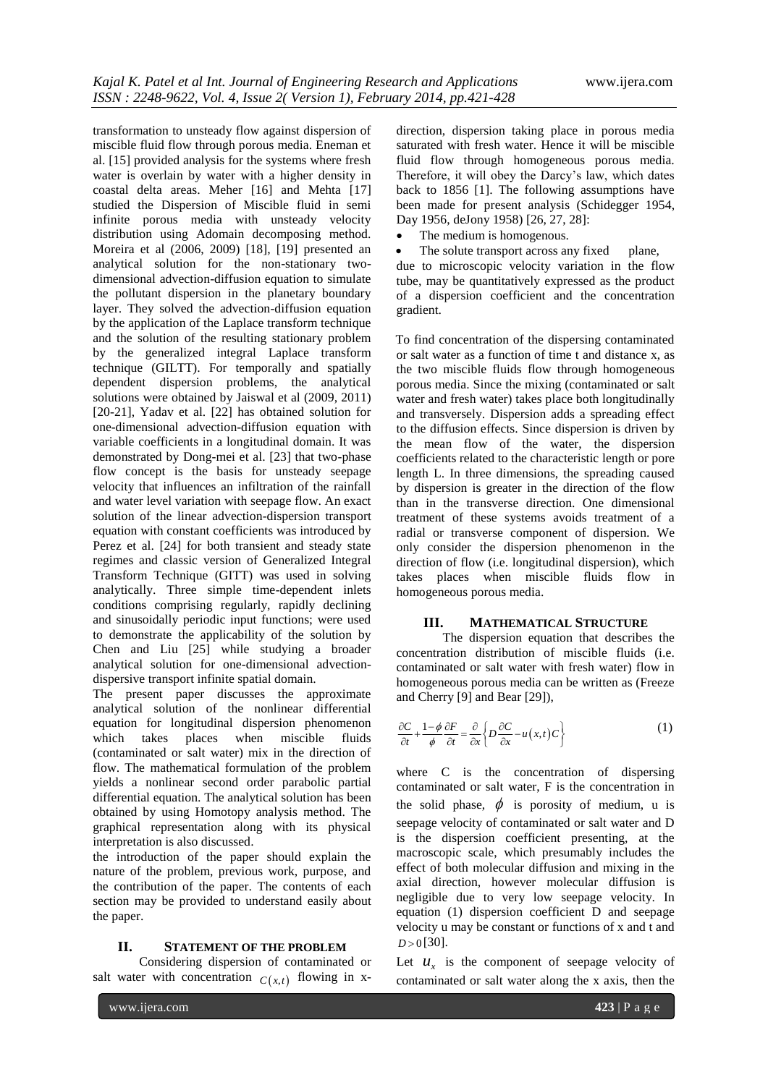transformation to unsteady flow against dispersion of miscible fluid flow through porous media. Eneman et al. [15] provided analysis for the systems where fresh water is overlain by water with a higher density in coastal delta areas. Meher [16] and Mehta [17] studied the Dispersion of Miscible fluid in semi infinite porous media with unsteady velocity distribution using Adomain decomposing method. Moreira et al (2006, 2009) [18], [19] presented an analytical solution for the non-stationary twodimensional advection-diffusion equation to simulate the pollutant dispersion in the planetary boundary layer. They solved the advection-diffusion equation by the application of the Laplace transform technique and the solution of the resulting stationary problem by the generalized integral Laplace transform technique (GILTT). For temporally and spatially dependent dispersion problems, the analytical solutions were obtained by Jaiswal et al (2009, 2011) [20-21], Yadav et al. [22] has obtained solution for one-dimensional advection-diffusion equation with variable coefficients in a longitudinal domain. It was demonstrated by Dong-mei et al. [23] that two-phase flow concept is the basis for unsteady seepage velocity that influences an infiltration of the rainfall and water level variation with seepage flow. An exact solution of the linear advection-dispersion transport equation with constant coefficients was introduced by Perez et al. [24] for both transient and steady state regimes and classic version of Generalized Integral Transform Technique (GITT) was used in solving analytically. Three simple time-dependent inlets conditions comprising regularly, rapidly declining and sinusoidally periodic input functions; were used to demonstrate the applicability of the solution by Chen and Liu [25] while studying a broader analytical solution for one-dimensional advectiondispersive transport infinite spatial domain.

The present paper discusses the approximate analytical solution of the nonlinear differential equation for longitudinal dispersion phenomenon which takes places when miscible fluids (contaminated or salt water) mix in the direction of flow. The mathematical formulation of the problem yields a nonlinear second order parabolic partial differential equation. The analytical solution has been obtained by using Homotopy analysis method. The graphical representation along with its physical interpretation is also discussed.

the introduction of the paper should explain the nature of the problem, previous work, purpose, and the contribution of the paper. The contents of each section may be provided to understand easily about the paper.

## **II. STATEMENT OF THE PROBLEM**

Considering dispersion of contaminated or salt water with concentration  $C(x,t)$  flowing in xdirection, dispersion taking place in porous media saturated with fresh water. Hence it will be miscible fluid flow through homogeneous porous media. Therefore, it will obey the Darcy's law, which dates back to 1856 [1]. The following assumptions have been made for present analysis (Schidegger 1954, Day 1956, deJony 1958) [26, 27, 28]:

The medium is homogenous.

The solute transport across any fixed plane, due to microscopic velocity variation in the flow tube, may be quantitatively expressed as the product of a dispersion coefficient and the concentration gradient.

To find concentration of the dispersing contaminated or salt water as a function of time t and distance x, as the two miscible fluids flow through homogeneous porous media. Since the mixing (contaminated or salt water and fresh water) takes place both longitudinally and transversely. Dispersion adds a spreading effect to the diffusion effects. Since dispersion is driven by the mean flow of the water, the dispersion coefficients related to the characteristic length or pore length L. In three dimensions, the spreading caused by dispersion is greater in the direction of the flow than in the transverse direction. One dimensional treatment of these systems avoids treatment of a radial or transverse component of dispersion. We only consider the dispersion phenomenon in the direction of flow (i.e. longitudinal dispersion), which takes places when miscible fluids flow in homogeneous porous media.

#### **III. MATHEMATICAL STRUCTURE**

The dispersion equation that describes the concentration distribution of miscible fluids (i.e. contaminated or salt water with fresh water) flow in homogeneous porous media can be written as (Freeze and Cherry [9] and Bear [29]),

$$
\frac{\partial C}{\partial t} + \frac{1 - \phi}{\phi} \frac{\partial F}{\partial t} = \frac{\partial}{\partial x} \left\{ D \frac{\partial C}{\partial x} - u(x, t) C \right\}
$$
(1)

where C is the concentration of dispersing contaminated or salt water, F is the concentration in the solid phase,  $\phi$  is porosity of medium, u is seepage velocity of contaminated or salt water and D is the dispersion coefficient presenting, at the macroscopic scale, which presumably includes the effect of both molecular diffusion and mixing in the axial direction, however molecular diffusion is negligible due to very low seepage velocity. In equation (1) dispersion coefficient D and seepage velocity u may be constant or functions of x and t and  $D > 0$ [30].

Let  $u_x$  is the component of seepage velocity of contaminated or salt water along the x axis, then the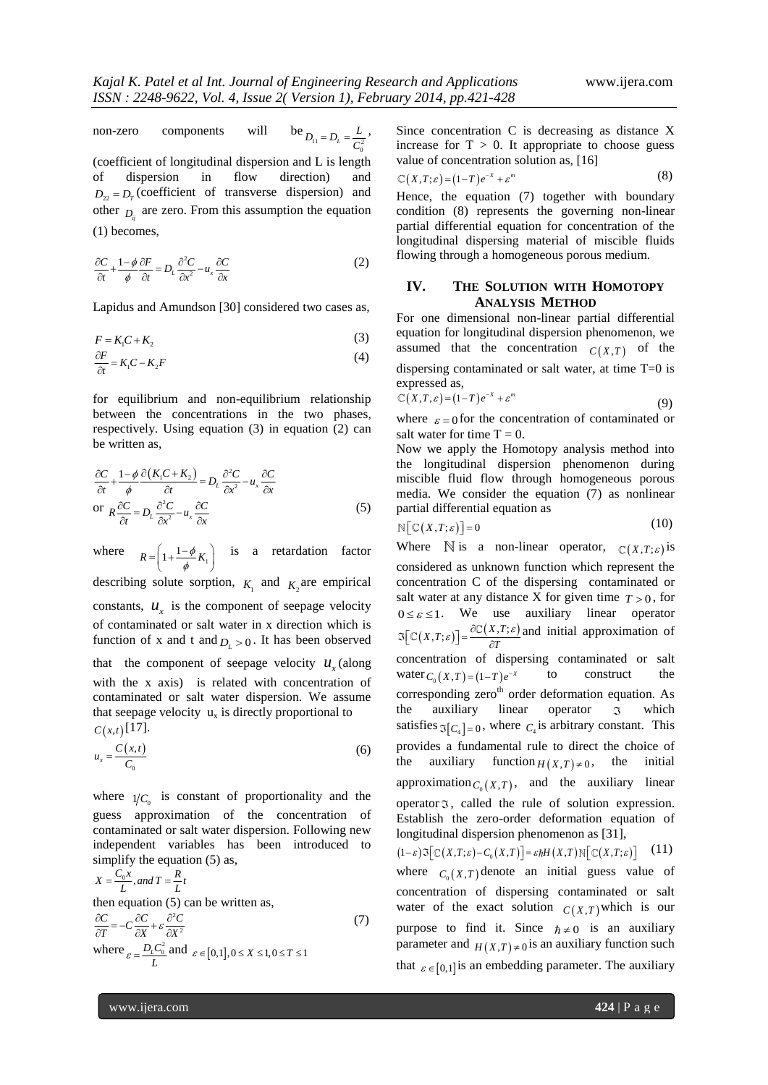non-zero components will be  $D_{11} = D_L = \frac{L}{C_0^2}$ ,

(coefficient of longitudinal dispersion and L is length of dispersion in flow direction) and  $D_{22} = D_{\text{r}}$  (coefficient of transverse dispersion) and other  $D_{ij}$  are zero. From this assumption the equation (1) becomes,

$$
\frac{\partial C}{\partial t} + \frac{1 - \phi}{\phi} \frac{\partial F}{\partial t} = D_L \frac{\partial^2 C}{\partial x^2} - u_x \frac{\partial C}{\partial x}
$$
 (2)

Lapidus and Amundson [30] considered two cases as,

$$
F = K_1 C + K_2 \tag{3}
$$

$$
\frac{\partial F}{\partial t} = K_1 C - K_2 F \tag{4}
$$

for equilibrium and non-equilibrium relationship between the concentrations in the two phases, respectively. Using equation (3) in equation (2) can be written as,

$$
\frac{\partial C}{\partial t} + \frac{1 - \phi}{\phi} \frac{\partial (K_1 C + K_2)}{\partial t} = D_L \frac{\partial^2 C}{\partial x^2} - u_x \frac{\partial C}{\partial x}
$$
\n
$$
\text{or } R \frac{\partial C}{\partial t} = D_L \frac{\partial^2 C}{\partial x^2} - u_x \frac{\partial C}{\partial x} \tag{5}
$$

where  $R = \left(1 + \frac{1 - \phi}{4} K_1\right)$  $\phi$  $=\left(1+\frac{1-\phi}{\phi}K_1\right)$  is a retardation factor describing solute sorption,  $K_1$  and  $K_2$  are empirical constants,  $u_x$  is the component of seepage velocity of contaminated or salt water in x direction which is

that the component of seepage velocity  $u_x$  (along with the x axis) is related with concentration of contaminated or salt water dispersion. We assume that seepage velocity  $u_x$  is directly proportional to  $C(x,t)$ [17].

function of x and t and  $D_L > 0$ . It has been observed

$$
u_x = \frac{C(x,t)}{C_0} \tag{6}
$$

where  $1/C_0$  is constant of proportionality and the guess approximation of the concentration of contaminated or salt water dispersion. Following new independent variables has been introduced to simplify the equation (5) as,

$$
X = \frac{C_0 x}{L}, and T = \frac{R}{L}t
$$
  
then equation (5) can be written as,  

$$
\frac{\partial C}{\partial T} = -C \frac{\partial C}{\partial X} + \varepsilon \frac{\partial^2 C}{\partial X^2}
$$
  
where  $\varepsilon = \frac{D_L C_0^2}{L}$  and  $\varepsilon \in [0,1], 0 \le X \le 1, 0 \le T \le 1$  (7)

Since concentration C is decreasing as distance X increase for  $T > 0$ . It appropriate to choose guess value of concentration solution as, [16]

$$
\mathbb{C}(X,T;\varepsilon) = (1-T)e^{-X} + \varepsilon^m \tag{8}
$$

Hence, the equation (7) together with boundary condition (8) represents the governing non-linear partial differential equation for concentration of the longitudinal dispersing material of miscible fluids flowing through a homogeneous porous medium.

## **IV. THE SOLUTION WITH HOMOTOPY ANALYSIS METHOD**

For one dimensional non-linear partial differential equation for longitudinal dispersion phenomenon, we assumed that the concentration  $C(X,T)$  of the dispersing contaminated or salt water, at time T=0 is expressed as,

$$
\mathbb{C}(X,T,\varepsilon) = (1-T)e^{-X} + \varepsilon^m \tag{9}
$$

where  $\varepsilon = 0$  for the concentration of contaminated or salt water for time  $T = 0$ .

Now we apply the Homotopy analysis method into the longitudinal dispersion phenomenon during miscible fluid flow through homogeneous porous media. We consider the equation (7) as nonlinear partial differential equation as

$$
\mathbb{N}\big[\mathbb{C}(X,T;\varepsilon)\big]=0\tag{10}
$$

Where  $\mathbb N$  is a non-linear operator,  $\mathbb C(X,T;\varepsilon)$  is considered as unknown function which represent the concentration C of the dispersing contaminated or salt water at any distance X for given time  $T > 0$ , for  $0 \le \varepsilon \le 1$ . We use auxiliary linear operator  $(X,T;\varepsilon)$ ] =  $\frac{\partial C(X,T;\varepsilon)}{\partial T}$  $\Im[\mathbb{C}(X,T;\varepsilon)] = \frac{\partial \mathbb{C}(X,T;\varepsilon)}{\partial T}$  and initial approximation of concentration of dispersing contaminated or salt water  $C_0(X,T) = (1-T)e^{-X}$ to construct the corresponding zero<sup>th</sup> order deformation equation. As the auxiliary linear operator  $\mathfrak{I}$ which satisfies  $\Im[C_4] = 0$ , where  $C_4$  is arbitrary constant. This provides a fundamental rule to direct the choice of the auxiliary function  $H(X,T) \neq 0$ , the initial approximation  $C_0(X,T)$ , and the auxiliary linear operator , called the rule of solution expression. Establish the zero-order deformation equation of longitudinal dispersion phenomenon as [31], longitudinal dispersion phenomenon as [31],<br> $(1-\varepsilon) \Im\big[ C(X,T;\varepsilon) - C_0(X,T) \big] = \varepsilon \hbar H(X,T) \Re\big[ C(X,T;\varepsilon) \big]$  (11) (11) where  $C_0(X,T)$  denote an initial guess value of concentration of dispersing contaminated or salt water of the exact solution  $C(X,T)$  which is our purpose to find it. Since  $h \neq 0$  is an auxiliary parameter and  $H(X,T) \neq 0$  is an auxiliary function such that  $\varepsilon \in [0,1]$  is an embedding parameter. The auxiliary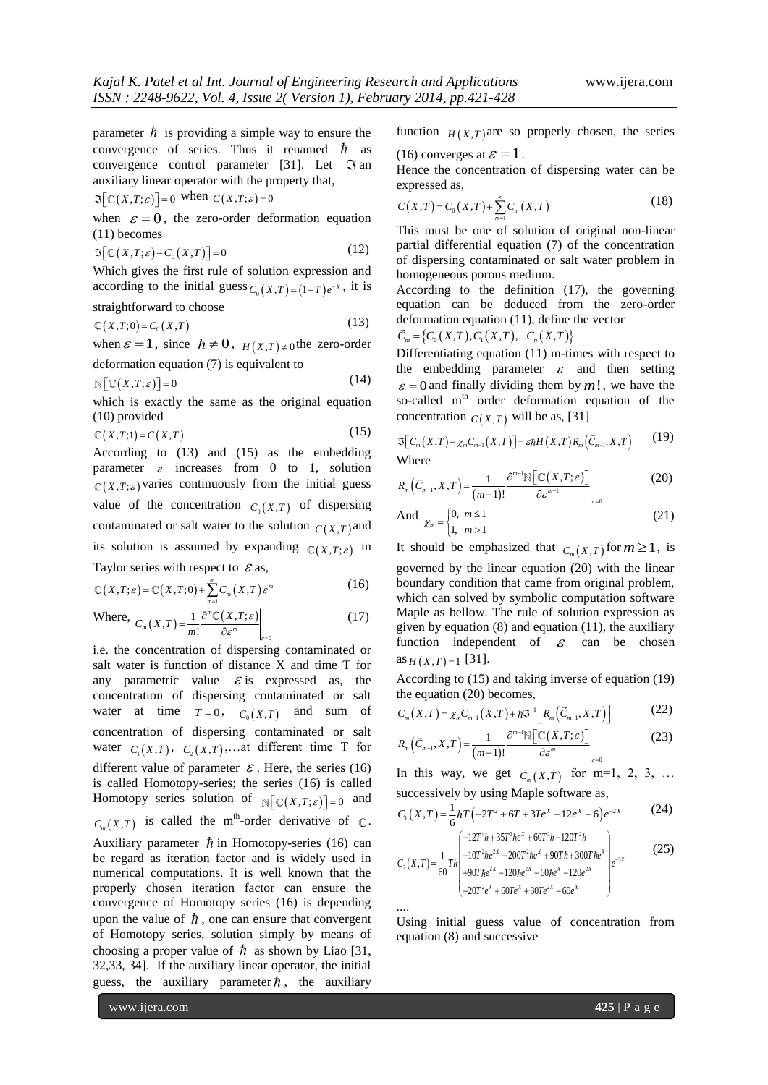parameter  $\hbar$  is providing a simple way to ensure the convergence of series. Thus it renamed  $\hbar$  as convergence control parameter [31]. Let  $\Im$  an auxiliary linear operator with the property that,

 $\Im\big[\mathbb{C}\big(X,T;\varepsilon\big)\big]=0$  when  $C\big(X,T;\varepsilon\big)=0$ 

when  $\varepsilon = 0$ , the zero-order deformation equation (11) becomes

$$
\Im\big[\mathbb{C}(X,T;\varepsilon)-C_0(X,T)\big]=0\tag{12}
$$

Which gives the first rule of solution expression and according to the initial guess  $C_0(X,T) = (1-T)e^{-X}$ , it is straightforward to choose

$$
\mathbb{C}(X,T;0) = C_0(X,T) \tag{13}
$$

when  $\varepsilon = 1$ , since  $\hbar \neq 0$ ,  $H(X,T) \neq 0$  the zero-order deformation equation (7) is equivalent to

 $\mathbb{N} \big[ \mathbb{C} \big( X, T; \varepsilon \big) \big] = 0$ (14)

which is exactly the same as the original equation (10) provided

$$
\mathbb{C}(X,T;1) = C(X,T) \tag{15}
$$

According to (13) and (15) as the embedding parameter  $\varepsilon$  increases from 0 to 1, solution  $(X, T; \varepsilon)$  varies continuously from the initial guess value of the concentration  $C_0(X,T)$  of dispersing contaminated or salt water to the solution  $C(X,T)$  and its solution is assumed by expanding  $C(X,T;\varepsilon)$  in

Taylor series with respect to 
$$
\mathcal{E}
$$
 as,  
\n
$$
\mathbb{C}(X,T;\varepsilon) = \mathbb{C}(X,T;0) + \sum_{m=1}^{\infty} C_m(X,T) \varepsilon^m
$$
\n(16)

Where,  $C_m(X,T) = \frac{1}{m!} \frac{\partial^m C(X,T;\varepsilon)}{\partial \varepsilon^m}$ 0 *m*  $C_m(X,T) = \frac{1}{m!} \frac{\partial^m \mathbb{C}(X,T;\varepsilon)}{\partial \varepsilon^m} \Bigg|_{\varepsilon}$ ε ε  $=$ (  $=\frac{1}{m!}\frac{\partial^m \mathbb{C}(2)}{\partial x^m}$ (17)

i.e. the concentration of dispersing contaminated or salt water is function of distance X and time T for any parametric value  $\mathcal{E}$  is expressed as, the concentration of dispersing contaminated or salt water at time  $T=0$ ,  $C_0(X,T)$  and sum of concentration of dispersing contaminated or salt water  $C_1(X,T)$ ,  $C_2(X,T)$ , at different time T for different value of parameter  $\mathcal E$ . Here, the series (16) is called Homotopy-series; the series (16) is called Homotopy series solution of  $\mathbb{N}[\mathbb{C}(X,T;\varepsilon)]=0$  and  $C_m(X,T)$  is called the m<sup>th</sup>-order derivative of  $\mathbb{C}$ . Auxiliary parameter  $\hbar$  in Homotopy-series (16) can be regard as iteration factor and is widely used in numerical computations. It is well known that the properly chosen iteration factor can ensure the convergence of Homotopy series (16) is depending upon the value of  $\hbar$ , one can ensure that convergent of Homotopy series, solution simply by means of choosing a proper value of  $\hbar$  as shown by Liao [31, 32,33, 34]. If the auxiliary linear operator, the initial guess, the auxiliary parameter  $\hbar$ , the auxiliary

function  $H(X,T)$  are so properly chosen, the series (16) converges at  $\varepsilon = 1$ .

Hence the concentration of dispersing water can be expressed as,

$$
C(X,T) = C_0(X,T) + \sum_{m=1}^{\infty} C_m(X,T)
$$
\n(18)

This must be one of solution of original non-linear partial differential equation (7) of the concentration of dispersing contaminated or salt water problem in homogeneous porous medium.

According to the definition (17), the governing equation can be deduced from the zero-order deformation equation (11), define the vector  $\vec{C}_m = \{C_0(X,T), C_1(X,T), ... C_n(X,T)\}\$ 

$$
C_m = \{C_0(X,T), C_1(X,T),...C_n(X,T)\}
$$

Differentiating equation (11) m-times with respect to the embedding parameter  $\varepsilon$  and then setting  $\varepsilon = 0$  and finally dividing them by m!, we have the so-called  $m<sup>th</sup>$  order deformation equation of the

concentration 
$$
C(X,T)
$$
 will be as, [31]  
\n
$$
\Im[c_m(X,T) - \chi_m C_{m-1}(X,T)] = \varepsilon \hbar H(X,T) R_m(\vec{C}_{m-1}, X,T)
$$
\n(19)

Where

Where  

$$
R_m(\vec{C}_{m-1}, X, T) = \frac{1}{(m-1)!} \frac{\partial^{m-1} \mathbb{N} \left[ \mathbb{C} \left( X, T; \varepsilon \right) \right]}{\partial \varepsilon^{m-1}} \Bigg|_{\varepsilon=0}
$$
(20)

And 
$$
\chi_m = \begin{cases} 0, & m \le 1 \\ 1, & m > 1 \end{cases}
$$
 (21)

It should be emphasized that  $C_m(X,T)$  for  $m \ge 1$ , is governed by the linear equation (20) with the linear boundary condition that came from original problem, which can solved by symbolic computation software Maple as bellow. The rule of solution expression as given by equation (8) and equation (11), the auxiliary function independent of  $\epsilon$  can be chosen  $\text{as } H(X,T)=1$  [31].

According to (15) and taking inverse of equation (19)

the equation (20) becomes,  
\n
$$
C_m(X,T) = \chi_m C_{m-1}(X,T) + \hbar \mathfrak{S}^{-1} \Big[ R_m \big( \vec{C}_{m-1}, X, T \big) \Big]
$$
\n
$$
R_m \big( \vec{C}_{m-1}, X, T \big) = \frac{1}{\chi_m(\mathfrak{S}_{m-1}, X, T)} \frac{\partial^{m-1} \mathbb{N} \big[ \mathbb{C} \big( X, T; \varepsilon \big) \big]}{\partial \mathfrak{S}^{-1} \big[ \mathbb{C} \big( X, T; \varepsilon \big) \big]} \Big|
$$
\n(23)

$$
R_m\left(\vec{C}_{m-1}, X, T\right) = \frac{1}{(m-1)!} \frac{\partial^{m-1} \mathbb{N}\left[\mathbb{C}\left(X, T; \varepsilon\right)\right]}{\partial \varepsilon^m} \bigg|_{\varepsilon=0} \tag{23}
$$

In this way, we get  $C_m(X,T)$  for m=1, 2, 3, ...

successively by using Maple software as,  
\n
$$
C_1(X,T) = \frac{1}{6} \hbar T \left( -2T^2 + 6T + 3Te^X - 12e^X - 6 \right) e^{-2X}
$$
\n
$$
\left( -12T^2 \hbar + 35T^3 \hbar e^X + 60T^3 \hbar - 120T^2 \hbar \right)
$$
\n(25)

$$
C_1(X,T) = \frac{1}{6}\hbar T \left(-2T^2 + 6T + 3Te^X - 12e^X - 6\right)e^{-2X}
$$
\n
$$
C_2(X,T) = \frac{1}{60}Th \left\{\n\begin{array}{l}\n-12T^2\hbar + 35T^3\hbar e^X + 60T^3\hbar - 120T^2\hbar \\
-10T^2\hbar e^{2X} - 200T^2\hbar e^X + 90Th + 300T\hbar e^X \\
+90Th e^{2X} - 120\hbar e^{2X} - 60\hbar e^X - 120e^{2X} \\
-20T^2e^X + 60Te^X + 30Te^{2X} - 60e^X\n\end{array}\n\right\} (25)
$$

....

Using initial guess value of concentration from equation (8) and successive

www.ijera.com **425** | P a g e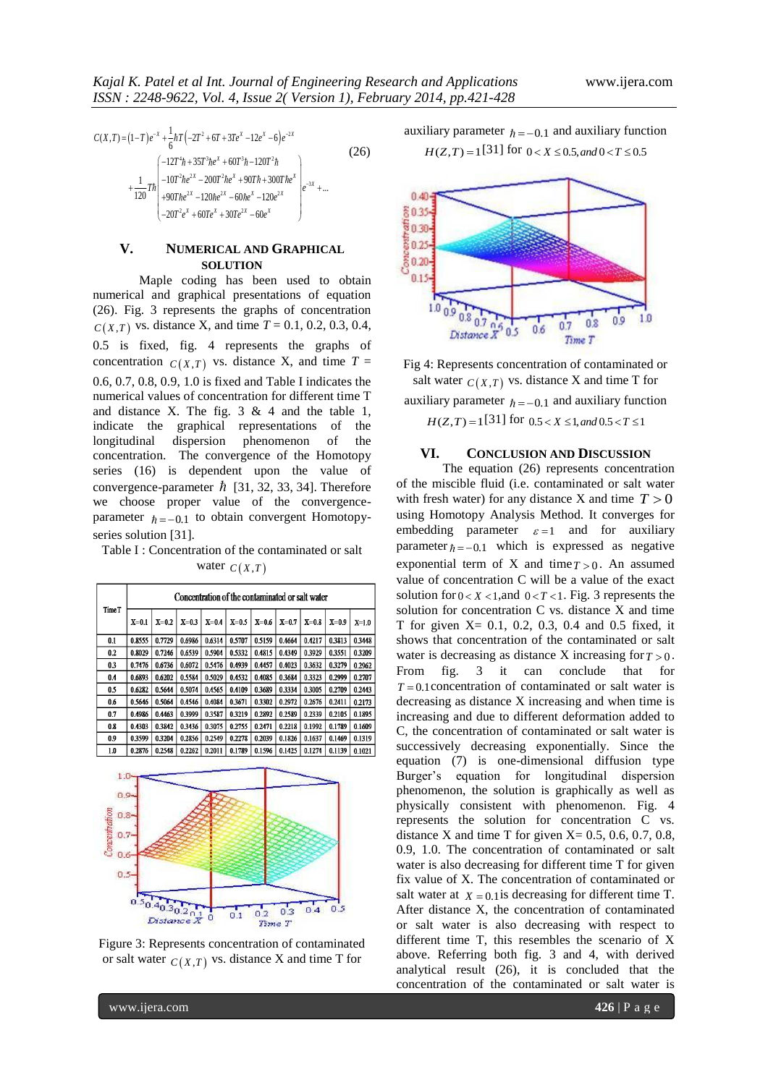$$
C(X,T) = (1-T)e^{-x} + \frac{1}{6}nT(-2T^2 + 6T + 3Te^x - 12e^x - 6)e^{-2x}
$$
  
\n
$$
+ \frac{1}{120}Th \begin{pmatrix} -12T^4h + 35T^3he^x + 60T^3h - 120T^2h \\ -10T^2he^{2x} - 200T^2he^x + 90Th + 300The^x \\ +90The^{2x} - 120he^{2x} - 60he^x - 120e^{2x} \\ -20T^2e^x + 60Te^x + 30Te^{2x} - 60e^x \end{pmatrix} e^{-3x} + ...
$$
\n(26)

# **V. NUMERICAL AND GRAPHICAL SOLUTION**

Maple coding has been used to obtain numerical and graphical presentations of equation (26). Fig. 3 represents the graphs of concentration  $C(X,T)$  vs. distance X, and time  $T = 0.1, 0.2, 0.3, 0.4$ , 0.5 is fixed, fig. 4 represents the graphs of concentration  $C(X,T)$  vs. distance X, and time  $T =$ 0.6, 0.7, 0.8, 0.9, 1.0 is fixed and Table I indicates the numerical values of concentration for different time T and distance X. The fig.  $3 \& 4$  and the table 1, indicate the graphical representations of the longitudinal dispersion phenomenon of the concentration. The convergence of the Homotopy series (16) is dependent upon the value of convergence-parameter  $\hbar$  [31, 32, 33, 34]. Therefore we choose proper value of the convergenceparameter  $h = -0.1$  to obtain convergent Homotopyseries solution [31].

Table I : Concentration of the contaminated or salt water  $C(X,T)$ 

| <b>Time T</b> | Concentration of the contaminated or salt water |           |           |         |         |           |         |           |         |        |
|---------------|-------------------------------------------------|-----------|-----------|---------|---------|-----------|---------|-----------|---------|--------|
|               | $X=0.1$                                         | $X = 0.2$ | $X = 0.3$ | $X=0.4$ | $X=0.5$ | $X = 0.6$ | $X=0.7$ | $X = 0.8$ | $X=0.9$ | X=1.0  |
| 0.1           | 0.8555                                          | 0.7729    | 0.6986    | 0.6314  | 0.5707  | 0.5159    | 0.4664  | 0.4217    | 0.3813  | 0.3448 |
| 0.2           | 0.8029                                          | 0.7246    | 0.6539    | 0.5904  | 0.5332  | 0.4815    | 0.4349  | 0.3929    | 0.3551  | 0.3209 |
| 0.3           | 0.7476                                          | 0.6736    | 0.6072    | 0.5476  | 0.4939  | 0.4457    | 0.4023  | 0.3632    | 0.3279  | 0.2962 |
| 0.4           | 0.6893                                          | 0.6202    | 0.5584    | 0.5029  | 0.4532  | 0.4085    | 0.3684  | 0.3323    | 0.2999  | 0.2707 |
| 0.5           | 0.6282                                          | 0.5644    | 0.5074    | 0.4565  | 0.4109  | 0.3689    | 0.3334  | 0.3005    | 0.2709  | 0.2443 |
| 0.6           | 0.5646                                          | 0.5064    | 0.4546    | 0.4084  | 0.3671  | 0.3302    | 0.2972  | 0.2676    | 0.2411  | 0.2173 |
| 0.7           | 0.4986                                          | 0.4463    | 0.3999    | 0.3587  | 0.3219  | 0.2892    | 0.2589  | 0.2339    | 0.2105  | 0.1895 |
| 0.8           | 0.4303                                          | 0.3842    | 0.3436    | 0.3075  | 0.2755  | 0.2471    | 0.2218  | 0.1992    | 0.1789  | 0.1609 |
| 0.9           | 0.3599                                          | 0.3204    | 0.2856    | 0.2549  | 0.2278  | 0.2039    | 0.1826  | 0.1637    | 0.1469  | 0.1319 |
| 1.0           | 0.2876                                          | 0.2548    | 0.2262    | 0.2011  | 0.1789  | 0.1596    | 0.1425  | 0.1274    | 0.1139  | 0.1021 |



Figure 3: Represents concentration of contaminated or salt water  $C(X,T)$  vs. distance X and time T for

auxiliary parameter  $h = -0.1$  and auxiliary function  $H(Z, T) = 1$ [31] for  $0 < X \le 0.5$ , and  $0 < T \le 0.5$ 



Fig 4: Represents concentration of contaminated or salt water  $C(X,T)$  vs. distance X and time T for auxiliary parameter  $\hbar = -0.1$  and auxiliary function  $H(Z, T) = 1$ [31] for  $0.5 < X \le 1$ , and  $0.5 < T \le 1$ 

# **VI. CONCLUSION AND DISCUSSION**

3191917 equality  $\frac{1}{2}$  (32)  $\frac{1}{2}$  (32)  $\frac{1}{2}$  (32)  $\frac{1}{2}$  (32)  $\frac{1}{2}$  (32)  $\frac{1}{2}$  (32)  $\frac{1}{2}$  (32)  $\frac{1}{2}$  (32)  $\frac{1}{2}$  (32)  $\frac{1}{2}$  (32)  $\frac{1}{2}$  (32)  $\frac{1}{2}$  (32)  $\frac{1}{2}$  (32)  $\frac{1}{2}$ The equation (26) represents concentration of the miscible fluid (i.e. contaminated or salt water with fresh water) for any distance X and time  $T > 0$ using Homotopy Analysis Method. It converges for embedding parameter  $\varepsilon = 1$  and for auxiliary parameter  $\hbar = -0.1$  which is expressed as negative exponential term of X and time  $T > 0$ . An assumed value of concentration C will be a value of the exact solution for  $0 < X < 1$ , and  $0 < T < 1$ . Fig. 3 represents the solution for concentration C vs. distance X and time T for given X= 0.1, 0.2, 0.3, 0.4 and 0.5 fixed, it shows that concentration of the contaminated or salt water is decreasing as distance X increasing for  $T > 0$ . From fig. 3 it can conclude that for  $T = 0.1$  concentration of contaminated or salt water is decreasing as distance X increasing and when time is increasing and due to different deformation added to C, the concentration of contaminated or salt water is successively decreasing exponentially. Since the equation (7) is one-dimensional diffusion type Burger's equation for longitudinal dispersion phenomenon, the solution is graphically as well as physically consistent with phenomenon. Fig. 4 represents the solution for concentration C vs. distance X and time T for given  $X = 0.5, 0.6, 0.7, 0.8$ , 0.9, 1.0. The concentration of contaminated or salt water is also decreasing for different time T for given fix value of X. The concentration of contaminated or salt water at  $X = 0.1$  is decreasing for different time T. After distance X, the concentration of contaminated or salt water is also decreasing with respect to different time T, this resembles the scenario of X above. Referring both fig. 3 and 4, with derived analytical result (26), it is concluded that the concentration of the contaminated or salt water is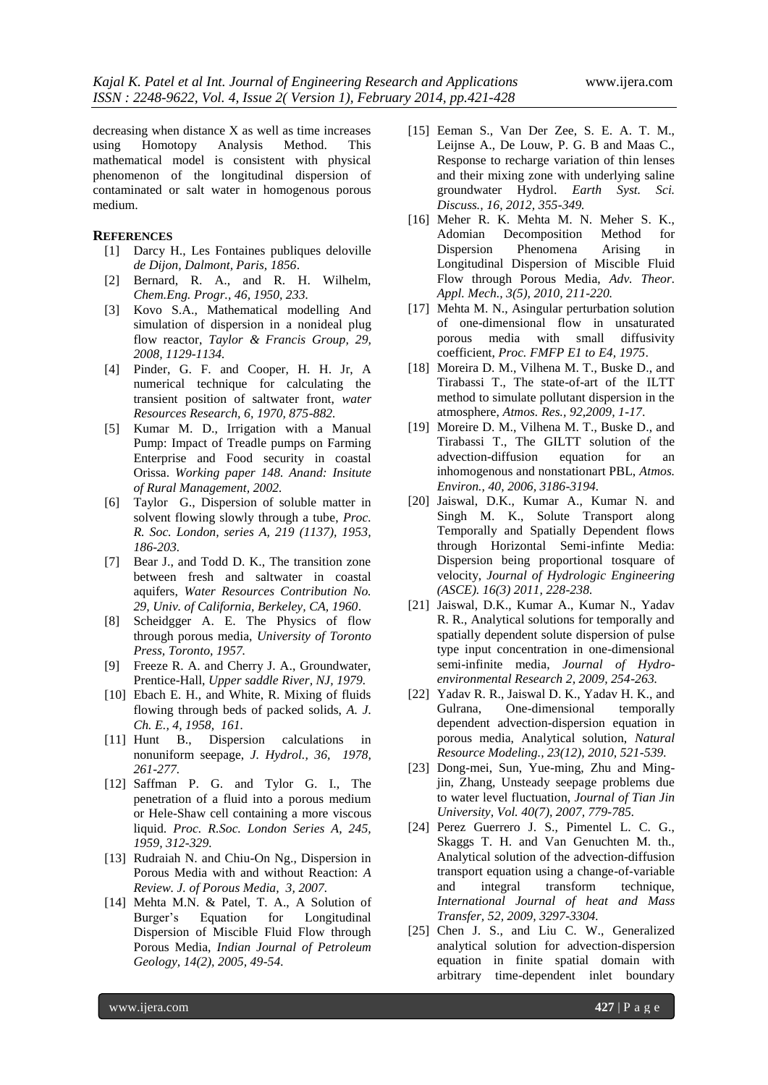decreasing when distance X as well as time increases using Homotopy Analysis Method. This mathematical model is consistent with physical phenomenon of the longitudinal dispersion of contaminated or salt water in homogenous porous medium.

## **REFERENCES**

- [1] Darcy H., Les Fontaines publiques deloville *de Dijon, Dalmont, Paris, 1856*.
- [2] Bernard, R. A., and R. H. Wilhelm, *Chem.Eng. Progr., 46, 1950, 233.*
- [3] Kovo S.A., Mathematical modelling And simulation of dispersion in a nonideal plug flow reactor, *Taylor & Francis Group, 29, 2008, 1129-1134.*
- [4] Pinder, G. F. and Cooper, H. H. Jr, A numerical technique for calculating the transient position of saltwater front, *water Resources Research, 6, 1970, 875-882.*
- [5] Kumar M. D., Irrigation with a Manual Pump: Impact of Treadle pumps on Farming Enterprise and Food security in coastal Orissa. *Working paper 148. Anand: Insitute of Rural Management, 2002.*
- [6] Taylor G., Dispersion of soluble matter in solvent flowing slowly through a tube, *Proc. R. Soc. London, series A, 219 (1137), 1953, 186-203.*
- [7] Bear J., and Todd D. K., The transition zone between fresh and saltwater in coastal aquifers, *Water Resources Contribution No. 29, Univ. of California, Berkeley, CA, 1960*.
- [8] Scheidgger A. E. The Physics of flow through porous media, *University of Toronto Press, Toronto, 1957.*
- [9] Freeze R. A. and Cherry J. A., Groundwater, Prentice-Hall, *Upper saddle River, NJ, 1979.*
- [10] Ebach E. H., and White, R. Mixing of fluids flowing through beds of packed solids, *A. J. Ch. E., 4, 1958, 161.*
- [11] Hunt B., Dispersion calculations in nonuniform seepage, *J. Hydrol., 36, 1978, 261-277.*
- [12] Saffman P. G. and Tylor G. I., The penetration of a fluid into a porous medium or Hele-Shaw cell containing a more viscous liquid. *Proc. R.Soc. London Series A, 245, 1959, 312-329.*
- [13] Rudraiah N. and Chiu-On Ng., Dispersion in Porous Media with and without Reaction: *A Review. J. of Porous Media, 3, 2007.*
- [14] Mehta M.N. & Patel, T. A., A Solution of Burger's Equation for Longitudinal Dispersion of Miscible Fluid Flow through Porous Media, *Indian Journal of Petroleum Geology, 14(2), 2005, 49-54.*
- [15] Eeman S., Van Der Zee, S. E. A. T. M., Leijnse A., De Louw, P. G. B and Maas C., Response to recharge variation of thin lenses and their mixing zone with underlying saline groundwater Hydrol. *Earth Syst. Sci. Discuss., 16, 2012, 355-349.*
- [16] Meher R. K. Mehta M. N. Meher S. K., Decomposition Method for Dispersion Phenomena Arising in Longitudinal Dispersion of Miscible Fluid Flow through Porous Media, *Adv. Theor. Appl. Mech., 3(5), 2010, 211-220.*
- [17] Mehta M. N., Asingular perturbation solution of one-dimensional flow in unsaturated porous media with small diffusivity coefficient, *Proc. FMFP E1 to E4, 1975*.
- [18] Moreira D. M., Vilhena M. T., Buske D., and Tirabassi T., The state-of-art of the ILTT method to simulate pollutant dispersion in the atmosphere, *Atmos. Res., 92,2009, 1-17*.
- [19] Moreire D. M., Vilhena M. T., Buske D., and Tirabassi T., The GILTT solution of the advection-diffusion equation for an inhomogenous and nonstationart PBL, *Atmos. Environ., 40, 2006, 3186-3194.*
- [20] Jaiswal, D.K., Kumar A., Kumar N. and Singh M. K., Solute Transport along Temporally and Spatially Dependent flows through Horizontal Semi-infinte Media: Dispersion being proportional tosquare of velocity, *Journal of Hydrologic Engineering (ASCE). 16(3) 2011, 228-238.*
- [21] Jaiswal, D.K., Kumar A., Kumar N., Yadav R. R., Analytical solutions for temporally and spatially dependent solute dispersion of pulse type input concentration in one-dimensional semi-infinite media, *Journal of Hydroenvironmental Research 2, 2009, 254-263.*
- [22] Yadav R. R., Jaiswal D. K., Yadav H. K., and Gulrana, One-dimensional temporally dependent advection-dispersion equation in porous media, Analytical solution, *Natural Resource Modeling., 23(12), 2010, 521-539.*
- [23] Dong-mei, Sun, Yue-ming, Zhu and Mingjin, Zhang, Unsteady seepage problems due to water level fluctuation, *Journal of Tian Jin University, Vol. 40(7), 2007, 779-785.*
- [24] Perez Guerrero J. S., Pimentel L. C. G., Skaggs T. H. and Van Genuchten M. th., Analytical solution of the advection-diffusion transport equation using a change-of-variable and integral transform technique, *International Journal of heat and Mass Transfer, 52, 2009, 3297-3304.*
- [25] Chen J. S., and Liu C. W., Generalized analytical solution for advection-dispersion equation in finite spatial domain with arbitrary time-dependent inlet boundary